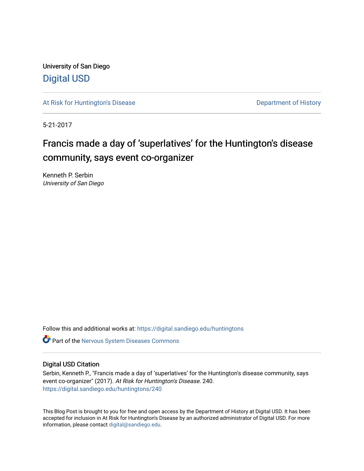University of San Diego [Digital USD](https://digital.sandiego.edu/)

[At Risk for Huntington's Disease](https://digital.sandiego.edu/huntingtons) **Department of History** Department of History

5-21-2017

# Francis made a day of 'superlatives' for the Huntington's disease community, says event co-organizer

Kenneth P. Serbin University of San Diego

Follow this and additional works at: [https://digital.sandiego.edu/huntingtons](https://digital.sandiego.edu/huntingtons?utm_source=digital.sandiego.edu%2Fhuntingtons%2F240&utm_medium=PDF&utm_campaign=PDFCoverPages)

**C** Part of the [Nervous System Diseases Commons](http://network.bepress.com/hgg/discipline/928?utm_source=digital.sandiego.edu%2Fhuntingtons%2F240&utm_medium=PDF&utm_campaign=PDFCoverPages)

### Digital USD Citation

Serbin, Kenneth P., "Francis made a day of 'superlatives' for the Huntington's disease community, says event co-organizer" (2017). At Risk for Huntington's Disease. 240. [https://digital.sandiego.edu/huntingtons/240](https://digital.sandiego.edu/huntingtons/240?utm_source=digital.sandiego.edu%2Fhuntingtons%2F240&utm_medium=PDF&utm_campaign=PDFCoverPages)

This Blog Post is brought to you for free and open access by the Department of History at Digital USD. It has been accepted for inclusion in At Risk for Huntington's Disease by an authorized administrator of Digital USD. For more information, please contact [digital@sandiego.edu.](mailto:digital@sandiego.edu)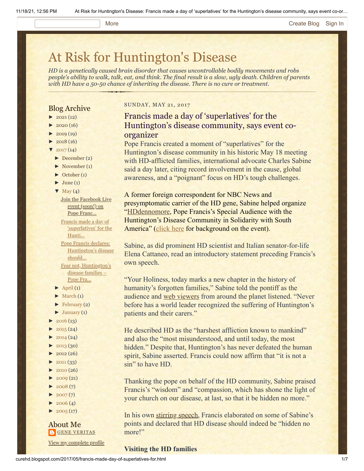#### More **[Create Blog](https://www.blogger.com/home#create) [Sign In](https://www.blogger.com/)**

# [At Risk for Huntington's Disease](http://curehd.blogspot.com/)

*HD is a genetically caused brain disorder that causes uncontrollable bodily movements and robs people's ability to walk, talk, eat, and think. The final result is a slow, ugly death. Children of parents with HD have a 50-50 chance of inheriting the disease. There is no cure or treatment.*

### Blog Archive

- $\blacktriangleright$  [2021](http://curehd.blogspot.com/2021/) (12)
- $\blacktriangleright$  [2020](http://curehd.blogspot.com/2020/) (16)
- $-2019(19)$  $-2019(19)$  $-2019(19)$
- $\blacktriangleright$  [2018](http://curehd.blogspot.com/2018/) (16)
- $2017(14)$  $2017(14)$
- [►](javascript:void(0)) [December](http://curehd.blogspot.com/2017/12/) (2)
- [►](javascript:void(0)) [November](http://curehd.blogspot.com/2017/11/) (1)
- [►](javascript:void(0)) [October](http://curehd.blogspot.com/2017/10/) (1)  $\blacktriangleright$  [June](http://curehd.blogspot.com/2017/06/) (1)
- $\nabla$  [May](http://curehd.blogspot.com/2017/05/) (4)
- Join the [Facebook](http://curehd.blogspot.com/2017/05/join-facebook-live-event-soon-on-pope.html) Live event (soon!) on Pope Franc... Francis made a day of
- ['superlatives'](http://curehd.blogspot.com/2017/05/francis-made-day-of-superlatives-for.html) for the Hunti...
- Pope Francis declares: [Huntington's](http://curehd.blogspot.com/2017/05/pope-francis-declares-huntingtons.html) disease should... Fear not, [Huntington's](http://curehd.blogspot.com/2017/05/fear-not-huntingtons-disease-families.html) disease families –
- Pope Fra...
- $\blacktriangleright$  [April](http://curehd.blogspot.com/2017/04/) (1)
- $\blacktriangleright$  [March](http://curehd.blogspot.com/2017/03/)  $(1)$
- $\blacktriangleright$  [February](http://curehd.blogspot.com/2017/02/) (2)
- $\blacktriangleright$  [January](http://curehd.blogspot.com/2017/01/) (1)
- $\blacktriangleright$  [2016](http://curehd.blogspot.com/2016/) (13)
- $\rightarrow$  [2015](http://curehd.blogspot.com/2015/) (24)
- $\blacktriangleright$  [2014](http://curehd.blogspot.com/2014/) (24)
- $\blacktriangleright$  [2013](http://curehd.blogspot.com/2013/) (30)
- $\blacktriangleright$  [2012](http://curehd.blogspot.com/2012/) (26)
- $\blacktriangleright$  [2011](http://curehd.blogspot.com/2011/) (33)
- $\blacktriangleright$  [2010](http://curehd.blogspot.com/2010/) (26)
- $\blacktriangleright$  [2009](http://curehd.blogspot.com/2009/) $(21)$
- $\blacktriangleright$  [2008](http://curehd.blogspot.com/2008/) $(7)$
- $\blacktriangleright$  [2007](http://curehd.blogspot.com/2007/) $(7)$
- $\blacktriangleright$  [2006](http://curehd.blogspot.com/2006/) (4)
- $\blacktriangleright$  [2005](http://curehd.blogspot.com/2005/) (17)

# About Me **GENE [VERITAS](https://www.blogger.com/profile/10911736205741688185)**

View my [complete](https://www.blogger.com/profile/10911736205741688185) profile

#### SUNDAY, MAY 21, 2017

## Francis made a day of 'superlatives' for the Huntington's disease community, says event coorganizer

Pope Francis created a moment of "superlatives" for the Huntington's disease community in his historic May 18 meeting with HD-afflicted families, international advocate Charles Sabine said a day later, citing record involvement in the cause, global awareness, and a "poignant" focus on HD's tough challenges.

A former foreign correspondent for NBC News and presymptomatic carrier of the HD gene, Sabine helped organize ["HDdennomore,](http://hddennomore.com/) Pope Francis's Special Audience with the Huntington's Disease Community in Solidarity with South America" ([click here](http://curehd.blogspot.com/2017/03/pope-francis-i-to-meet-with-victims-of.html) for background on the event).

Sabine, as did prominent HD scientist and Italian senator-for-life Elena Cattaneo, read an introductory statement preceding Francis's own speech.

"Your Holiness, today marks a new chapter in the history of humanity's forgotten families," Sabine told the pontiff as the audience and [web viewers](https://www.youtube.com/watch?v=NV1pnmPZGt0&feature=youtu.be) from around the planet listened. "Never before has a world leader recognized the suffering of Huntington's patients and their carers."

He described HD as the "harshest affliction known to mankind" and also the "most misunderstood, and until today, the most hidden." Despite that, Huntington's has never defeated the human spirit, Sabine asserted. Francis could now affirm that "it is not a sin" to have HD.

Thanking the pope on behalf of the HD community, Sabine praised Francis's "wisdom" and "compassion, which has shone the light of your church on our disease, at last, so that it be hidden no more."

In his own [stirring speech,](http://w2.vatican.va/content/francesco/en/speeches/2017/may/documents/papa-francesco_20170518_malati-corea-huntington.html) Francis elaborated on some of Sabine's points and declared that HD disease should indeed be "hidden no more!"

**Visiting the HD families**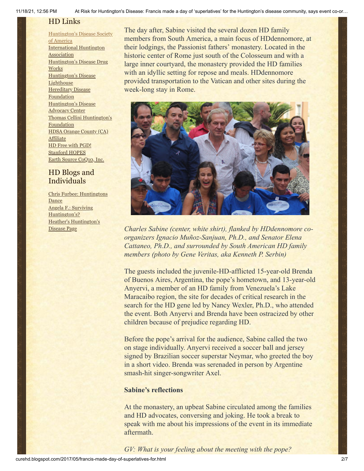## HD Links

[Huntington's](http://www.hdsa.org/) Disease Society of America [International](http://www.huntington-assoc.com/) Huntington **Association** [Huntington's](http://hddrugworks.org/) Disease Drug **Works** [Huntington's](http://www.hdlighthouse.org/) Disease **Lighthouse Hereditary Disease** [Foundation](http://www.hdfoundation.org/) [Huntington's](http://www.hdac.org/) Disease Advocacy Center Thomas [Cellini Huntington's](http://www.ourtchfoundation.org/) **Foundation** HDSA Orange County (CA) **[Affiliate](http://www.hdsaoc.org/)** HD Free with [PGD!](http://www.hdfreewithpgd.com/) [Stanford](http://www.stanford.edu/group/hopes/) HOPES Earth Source [CoQ10,](http://www.escoq10.com/) Inc.

## HD Blogs and Individuals

Chris Furbee: [Huntingtons](http://www.huntingtonsdance.org/) Dance Angela F.: Surviving [Huntington's?](http://survivinghuntingtons.blogspot.com/) Heather's [Huntington's](http://heatherdugdale.angelfire.com/) Disease Page

The day after, Sabine visited the several dozen HD family members from South America, a main focus of HDdennomore, at their lodgings, the Passionist fathers' monastery. Located in the historic center of Rome just south of the Colosseum and with a large inner courtyard, the monastery provided the HD families with an idyllic setting for repose and meals. HDdennomore provided transportation to the Vatican and other sites during the week-long stay in Rome.



*Charles Sabine (center, white shirt), flanked by HDdennomore coorganizers Ignacio Muñoz-Sanjuan, Ph.D., and Senator Elena Cattaneo, Ph.D., and surrounded by South American HD family members (photo by Gene Veritas, aka Kenneth P. Serbin)*

The guests included the juvenile-HD-afflicted 15-year-old Brenda of Buenos Aires, Argentina, the pope's hometown, and 13-year-old Anyervi, a member of an HD family from Venezuela's Lake Maracaibo region, the site for decades of critical research in the search for the HD gene led by Nancy Wexler, Ph.D., who attended the event. Both Anyervi and Brenda have been ostracized by other children because of prejudice regarding HD.

Before the pope's arrival for the audience, Sabine called the two on stage individually. Anyervi received a soccer ball and jersey signed by Brazilian soccer superstar Neymar, who greeted the boy in a short video. Brenda was serenaded in person by Argentine smash-hit singer-songwriter Axel.

## **Sabine's reflections**

At the monastery, an upbeat Sabine circulated among the families and HD advocates, conversing and joking. He took a break to speak with me about his impressions of the event in its immediate aftermath.

*GV: What is your feeling about the meeting with the pope?*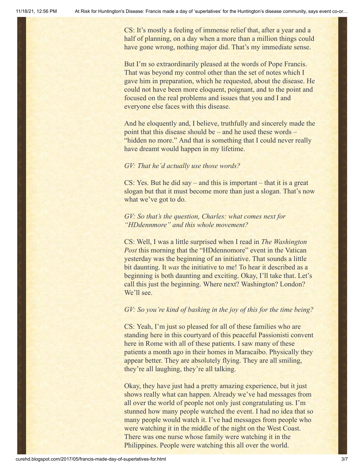CS: It's mostly a feeling of immense relief that, after a year and a half of planning, on a day when a more than a million things could have gone wrong, nothing major did. That's my immediate sense.

But I'm so extraordinarily pleased at the words of Pope Francis. That was beyond my control other than the set of notes which I gave him in preparation, which he requested, about the disease. He could not have been more eloquent, poignant, and to the point and focused on the real problems and issues that you and I and everyone else faces with this disease.

And he eloquently and, I believe, truthfully and sincerely made the point that this disease should be – and he used these words – "hidden no more." And that is something that I could never really have dreamt would happen in my lifetime.

#### *GV: That he'd actually use those words?*

CS: Yes. But he did say – and this is important – that it is a great slogan but that it must become more than just a slogan. That's now what we've got to do.

*GV: So that's the question, Charles: what comes next for "HDdennmore" and this whole movement?*

CS: Well, I was a little surprised when I read in *The Washington Post* this morning that the "HD dennomore" event in the Vatican yesterday was the beginning of an initiative. That sounds a little bit daunting. It *was* the initiative to me! To hear it described as a beginning is both daunting and exciting. Okay, I'll take that. Let's call this just the beginning. Where next? Washington? London? We'll see.

#### *GV: So you're kind of basking in the joy of this for the time being?*

CS: Yeah, I'm just so pleased for all of these families who are standing here in this courtyard of this peaceful Passionisti convent here in Rome with all of these patients. I saw many of these patients a month ago in their homes in Maracaibo. Physically they appear better. They are absolutely flying. They are all smiling, they're all laughing, they're all talking.

Okay, they have just had a pretty amazing experience, but it just shows really what can happen. Already we've had messages from all over the world of people not only just congratulating us. I'm stunned how many people watched the event. I had no idea that so many people would watch it. I've had messages from people who were watching it in the middle of the night on the West Coast. There was one nurse whose family were watching it in the Philippines. People were watching this all over the world.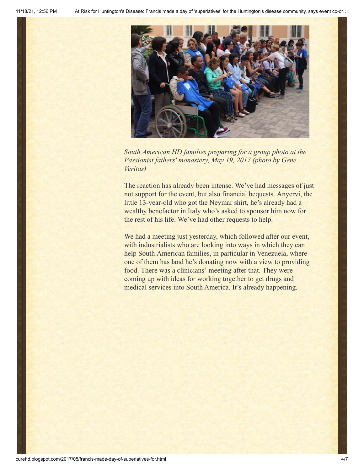

*South American HD families preparing for a group photo at the Passionist fathers' monastery, May 19, 2017 (photo by Gene Veritas)*

The reaction has already been intense. We've had messages of just not support for the event, but also financial bequests. Anyervi, the little 13-year-old who got the Neymar shirt, he's already had a wealthy benefactor in Italy who's asked to sponsor him now for the rest of his life. We've had other requests to help.

We had a meeting just yesterday, which followed after our event, with industrialists who are looking into ways in which they can help South American families, in particular in Venezuela, where one of them has land he's donating now with a view to providing food. There was a clinicians' meeting after that. They were coming up with ideas for working together to get drugs and medical services into South America. It's already happening.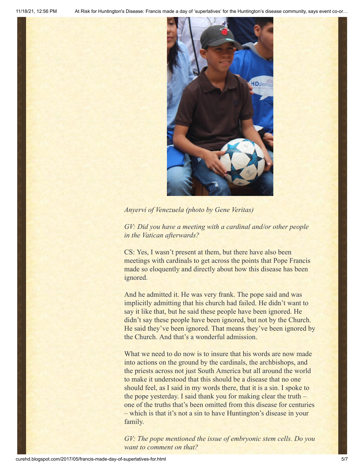

## *Anyervi of Venezuela (photo by Gene Veritas)*

*GV: Did you have a meeting with a cardinal and/or other people in the Vatican afterwards?*

CS: Yes, I wasn't present at them, but there have also been meetings with cardinals to get across the points that Pope Francis made so eloquently and directly about how this disease has been ignored.

And he admitted it. He was very frank. The pope said and was implicitly admitting that his church had failed. He didn't want to say it like that, but he said these people have been ignored. He didn't say these people have been ignored, but not by the Church. He said they've been ignored. That means they've been ignored by the Church. And that's a wonderful admission.

What we need to do now is to insure that his words are now made into actions on the ground by the cardinals, the archbishops, and the priests across not just South America but all around the world to make it understood that this should be a disease that no one should feel, as I said in my words there, that it is a sin. I spoke to the pope yesterday. I said thank you for making clear the truth – one of the truths that's been omitted from this disease for centuries – which is that it's not a sin to have Huntington's disease in your family.

*GV: The pope mentioned the issue of embryonic stem cells. Do you want to comment on that?*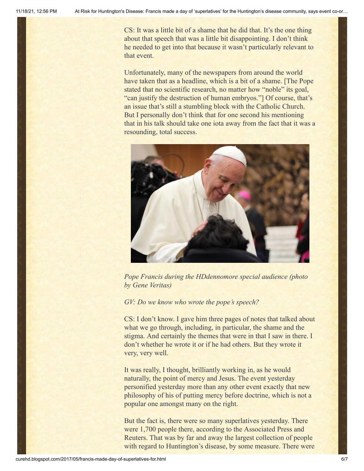CS: It was a little bit of a shame that he did that. It's the one thing about that speech that was a little bit disappointing. I don't think he needed to get into that because it wasn't particularly relevant to that event.

Unfortunately, many of the newspapers from around the world have taken that as a headline, which is a bit of a shame. [The Pope stated that no scientific research, no matter how "noble" its goal, "can justify the destruction of human embryos."] Of course, that's an issue that's still a stumbling block with the Catholic Church. But I personally don't think that for one second his mentioning that in his talk should take one iota away from the fact that it was a resounding, total success.



*Pope Francis during the HDdennomore special audience (photo by Gene Veritas)*

*GV: Do we know who wrote the pope's speech?*

CS: I don't know. I gave him three pages of notes that talked about what we go through, including, in particular, the shame and the stigma. And certainly the themes that were in that I saw in there. I don't whether he wrote it or if he had others. But they wrote it very, very well.

It was really, I thought, brilliantly working in, as he would naturally, the point of mercy and Jesus. The event yesterday personified yesterday more than any other event exactly that new philosophy of his of putting mercy before doctrine, which is not a popular one amongst many on the right.

But the fact is, there were so many superlatives yesterday. There were 1,700 people there, according to the Associated Press and Reuters. That was by far and away the largest collection of people with regard to Huntington's disease, by some measure. There were